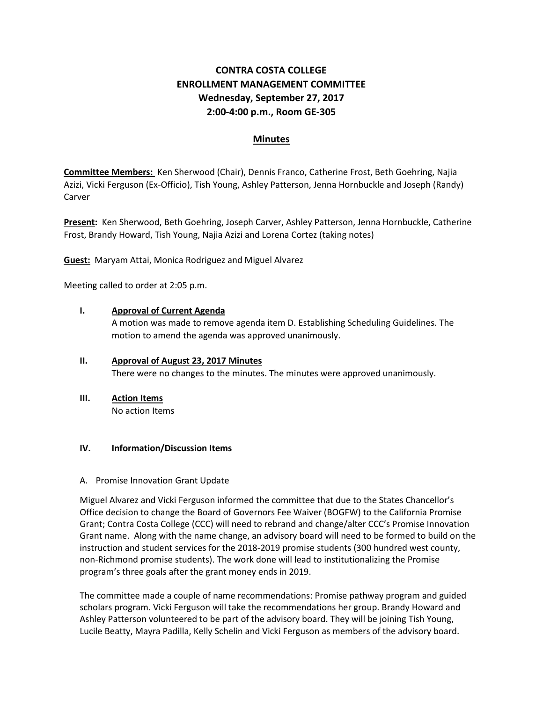# **CONTRA COSTA COLLEGE ENROLLMENT MANAGEMENT COMMITTEE Wednesday, September 27, 2017 2:00-4:00 p.m., Room GE-305**

# **Minutes**

**Committee Members:** Ken Sherwood (Chair), Dennis Franco, Catherine Frost, Beth Goehring, Najia Azizi, Vicki Ferguson (Ex-Officio), Tish Young, Ashley Patterson, Jenna Hornbuckle and Joseph (Randy) Carver

**Present:** Ken Sherwood, Beth Goehring, Joseph Carver, Ashley Patterson, Jenna Hornbuckle, Catherine Frost, Brandy Howard, Tish Young, Najia Azizi and Lorena Cortez (taking notes)

**Guest:** Maryam Attai, Monica Rodriguez and Miguel Alvarez

Meeting called to order at 2:05 p.m.

#### **I. Approval of Current Agenda**

A motion was made to remove agenda item D. Establishing Scheduling Guidelines. The motion to amend the agenda was approved unanimously.

# **II. Approval of August 23, 2017 Minutes** There were no changes to the minutes. The minutes were approved unanimously.

# **III. Action Items**

No action Items

#### **IV. Information/Discussion Items**

#### A. Promise Innovation Grant Update

Miguel Alvarez and Vicki Ferguson informed the committee that due to the States Chancellor's Office decision to change the Board of Governors Fee Waiver (BOGFW) to the California Promise Grant; Contra Costa College (CCC) will need to rebrand and change/alter CCC's Promise Innovation Grant name. Along with the name change, an advisory board will need to be formed to build on the instruction and student services for the 2018-2019 promise students (300 hundred west county, non-Richmond promise students). The work done will lead to institutionalizing the Promise program's three goals after the grant money ends in 2019.

The committee made a couple of name recommendations: Promise pathway program and guided scholars program. Vicki Ferguson will take the recommendations her group. Brandy Howard and Ashley Patterson volunteered to be part of the advisory board. They will be joining Tish Young, Lucile Beatty, Mayra Padilla, Kelly Schelin and Vicki Ferguson as members of the advisory board.